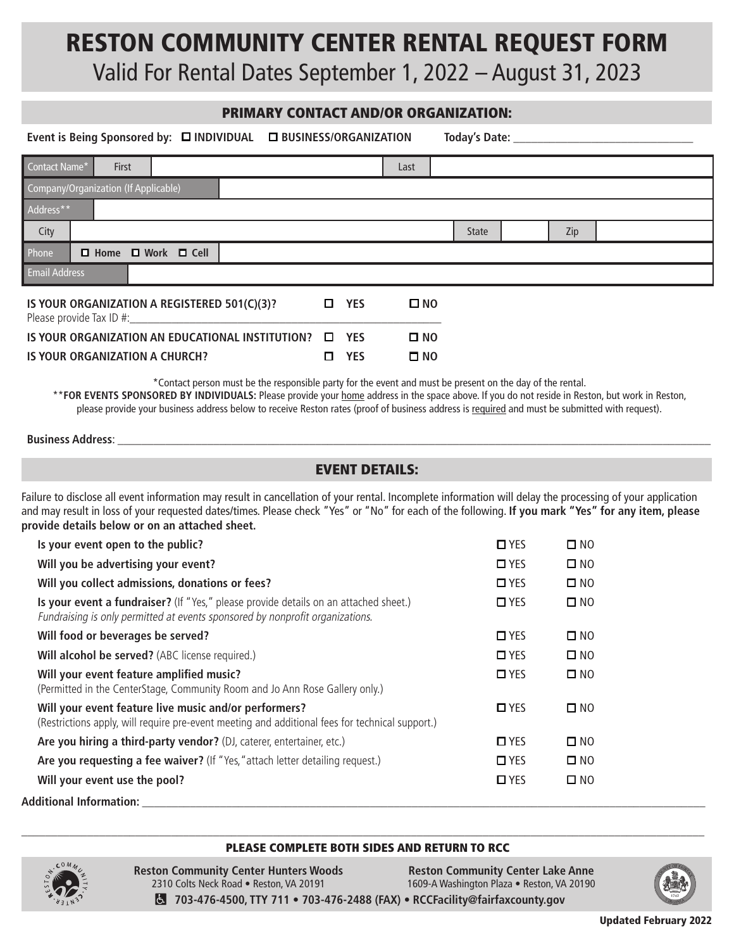# RESTON COMMUNITY CENTER RENTAL REQUEST FORM

Valid For Rental Dates September 1, 2022 – August 31, 2023

### PRIMARY CONTACT AND/OR ORGANIZATION:

|                                                                          |  |       |                                     |        |            |              |  |      |              | Today's Date: _______________ |     |  |
|--------------------------------------------------------------------------|--|-------|-------------------------------------|--------|------------|--------------|--|------|--------------|-------------------------------|-----|--|
| Contact Name*                                                            |  | First |                                     |        |            |              |  | Last |              |                               |     |  |
| Company/Organization (If Applicable)                                     |  |       |                                     |        |            |              |  |      |              |                               |     |  |
| Address**                                                                |  |       |                                     |        |            |              |  |      |              |                               |     |  |
| City                                                                     |  |       |                                     |        |            |              |  |      | <b>State</b> |                               | Zip |  |
| Phone                                                                    |  |       | $\Box$ Home $\Box$ Work $\Box$ Cell |        |            |              |  |      |              |                               |     |  |
| <b>Email Address</b>                                                     |  |       |                                     |        |            |              |  |      |              |                               |     |  |
| IS YOUR ORGANIZATION A REGISTERED 501(C)(3)?<br>Please provide Tax ID #: |  |       |                                     | $\Box$ | <b>YES</b> | $\square$ NO |  |      |              |                               |     |  |
| IS YOUR ORGANIZATION AN EDUCATIONAL INSTITUTION? $\square$               |  |       |                                     |        | <b>YES</b> | $\square$ NO |  |      |              |                               |     |  |
| IS YOUR ORGANIZATION A CHURCH?                                           |  |       |                                     | 0      | <b>YES</b> | $\square$ NO |  |      |              |                               |     |  |

\*Contact person must be the responsible party for the event and must be present on the day of the rental. \*\***FOR EVENTS SPONSORED BY INDIVIDUALS:** Please provide your home address in the space above. If you do not reside in Reston, but work in Reston, please provide your business address below to receive Reston rates (proof of business address is required and must be submitted with request).

#### **Business Address:**

#### EVENT DETAILS:

Failure to disclose all event information may result in cancellation of your rental. Incomplete information will delay the processing of your application and may result in loss of your requested dates/times. Please check "Yes" or "No" for each of the following. **If you mark "Yes" for any item, please provide details below or on an attached sheet.**

| Is your event open to the public?                                                                                                                                     | $\Box$ YES    | $\square$ NO |
|-----------------------------------------------------------------------------------------------------------------------------------------------------------------------|---------------|--------------|
| Will you be advertising your event?                                                                                                                                   | $\square$ YES | $\square$ NO |
| Will you collect admissions, donations or fees?                                                                                                                       | $\square$ YES | $\square$ NO |
| Is your event a fundraiser? (If "Yes," please provide details on an attached sheet.)<br>Fundraising is only permitted at events sponsored by nonprofit organizations. | $\square$ YES | $\square$ NO |
| Will food or beverages be served?                                                                                                                                     | $\square$ YES | $\square$ NO |
| Will alcohol be served? (ABC license required.)                                                                                                                       | $\square$ YES | $\square$ NO |
| Will your event feature amplified music?<br>(Permitted in the CenterStage, Community Room and Jo Ann Rose Gallery only.)                                              | $\square$ YES | $\square$ NO |
| Will your event feature live music and/or performers?<br>(Restrictions apply, will require pre-event meeting and additional fees for technical support.)              | $\Box$ YES    | $\square$ NO |
| Are you hiring a third-party vendor? (DJ, caterer, entertainer, etc.)                                                                                                 | $\square$ YES | $\square$ NO |
| Are you requesting a fee waiver? (If "Yes, "attach letter detailing request.)                                                                                         | $\square$ YES | $\square$ NO |
| Will your event use the pool?                                                                                                                                         | $\square$ YES | $\square$ NO |
|                                                                                                                                                                       |               |              |

**Additional Information: \_\_\_\_\_\_\_\_\_\_\_\_\_\_\_\_\_\_\_\_\_\_\_\_\_\_\_\_\_\_\_\_\_\_\_\_\_\_\_\_\_\_\_\_\_\_\_\_\_\_\_\_\_\_\_\_\_\_\_\_\_\_\_\_\_\_\_\_\_\_\_\_\_\_\_\_\_\_\_\_\_\_\_\_\_\_\_\_\_\_\_\_\_\_**

#### PLEASE COMPLETE BOTH SIDES AND RETURN TO RCC **\_\_\_\_\_\_\_\_\_\_\_\_\_\_\_\_\_\_\_\_\_\_\_\_\_\_\_\_\_\_\_\_\_\_\_\_\_\_\_\_\_\_\_\_\_\_\_\_\_\_\_\_\_\_\_\_\_\_\_\_\_\_\_\_\_\_\_\_\_\_\_\_\_\_\_\_\_\_\_\_\_\_\_\_\_\_\_\_\_\_\_\_\_\_\_\_\_\_\_\_\_\_\_\_\_\_\_\_\_\_\_\_\_\_**



**Reston Community Center Hunters Woods** 2310 Colts Neck Road • Reston, VA 20191 **Reston Community Center Lake Anne** 1609-A Washington Plaza • Reston, VA 20190 **703-476-4500, TTY 711 • 703-476-2488 (FAX)** • **RCCFacility@fairfaxcounty.gov**